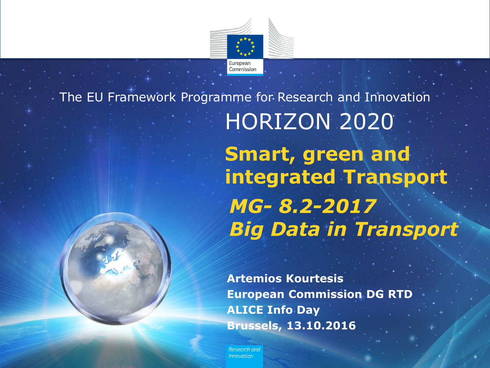

# HORIZON 2020 The EU Framework Programme for Research and Innovation **Smart, green and integrated Transport** *MG- 8.2-2017 Big Data in Transport*

**Artemios Kourtesis European Commission DG RTD ALICE Info Day Brussels, 13.10.2016**

Research and Innovation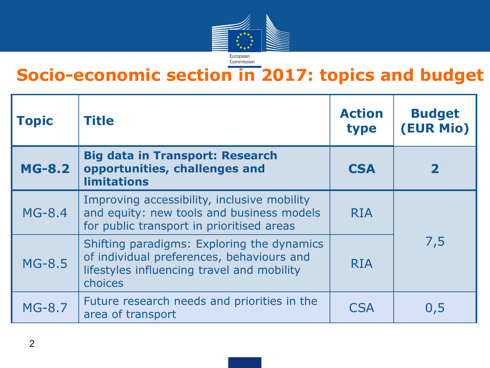

## **Socio-economic section in 2017: topics and budget**

| <b>Topic</b>  | <b>Title</b>                                                                                                                                     | <b>Action</b><br>type | <b>Budget</b><br>(EUR Mio) |
|---------------|--------------------------------------------------------------------------------------------------------------------------------------------------|-----------------------|----------------------------|
| <b>MG-8.2</b> | <b>Big data in Transport: Research</b><br>opportunities, challenges and<br><b>limitations</b>                                                    | <b>CSA</b>            | $\mathbf 2$                |
| $MG-8.4$      | Improving accessibility, inclusive mobility<br>and equity: new tools and business models<br>for public transport in prioritised areas            | <b>RIA</b>            | 7,5                        |
| <b>MG-8.5</b> | Shifting paradigms: Exploring the dynamics<br>of individual preferences, behaviours and<br>lifestyles influencing travel and mobility<br>choices | <b>RIA</b>            |                            |
| <b>MG-8.7</b> | Future research needs and priorities in the<br>area of transport                                                                                 | <b>ESA</b>            | 0,5                        |